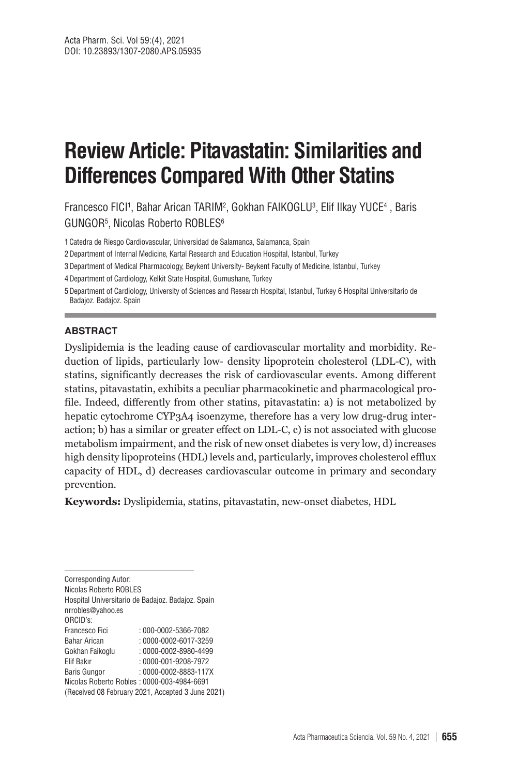# **Review Article: Pitavastatin: Similarities and Differences Compared With Other Statins**

Francesco FICI<sup>1</sup>, Bahar Arican TARIM<sup>2</sup>, Gokhan FAIKOGLU<sup>3</sup>, Elif Ilkay YUCE<sup>4</sup> , Baris GUNGOR $^5$ , Nicolas Roberto ROBLES $^6$ 

1Catedra de Riesgo Cardiovascular, Universidad de Salamanca, Salamanca, Spain

2Department of Internal Medicine, Kartal Research and Education Hospital, Istanbul, Turkey

3Department of Medical Pharmacology, Beykent University- Beykent Faculty of Medicine, Istanbul, Turkey

4Department of Cardiology, Kelkit State Hospital, Gumushane, Turkey

5Department of Cardiology, University of Sciences and Research Hospital, Istanbul, Turkey 6 Hospital Universitario de Badajoz. Badajoz. Spain

#### **ABSTRACT**

Dyslipidemia is the leading cause of cardiovascular mortality and morbidity. Reduction of lipids, particularly low- density lipoprotein cholesterol (LDL-C), with statins, significantly decreases the risk of cardiovascular events. Among different statins, pitavastatin, exhibits a peculiar pharmacokinetic and pharmacological profile. Indeed, differently from other statins, pitavastatin: a) is not metabolized by hepatic cytochrome CYP3A4 isoenzyme, therefore has a very low drug-drug interaction; b) has a similar or greater effect on LDL-C, c) is not associated with glucose metabolism impairment, and the risk of new onset diabetes is very low, d) increases high density lipoproteins (HDL) levels and, particularly, improves cholesterol efflux capacity of HDL, d) decreases cardiovascular outcome in primary and secondary prevention.

**Keywords:** Dyslipidemia, statins, pitavastatin, new-onset diabetes, HDL

Corresponding Autor: Nicolas Roberto ROBLES Hospital Universitario de Badajoz. Badajoz. Spain nrrobles@yahoo.es ORCID's: Francesco Fici : 000-0002-5366-7082 Bahar Arican : 0000-0002-6017-3259<br>Gokhan Faikoglu : 0000-0002-8980-4499 Gokhan Faikoglu : 0000-0002-8980-4499 Elif Bakır : 0000-001-9208-7972 Baris Gungor : 0000-0002-8883-117X Nicolas Roberto Robles : 0000-003-4984-6691 (Received 08 February 2021, Accepted 3 June 2021)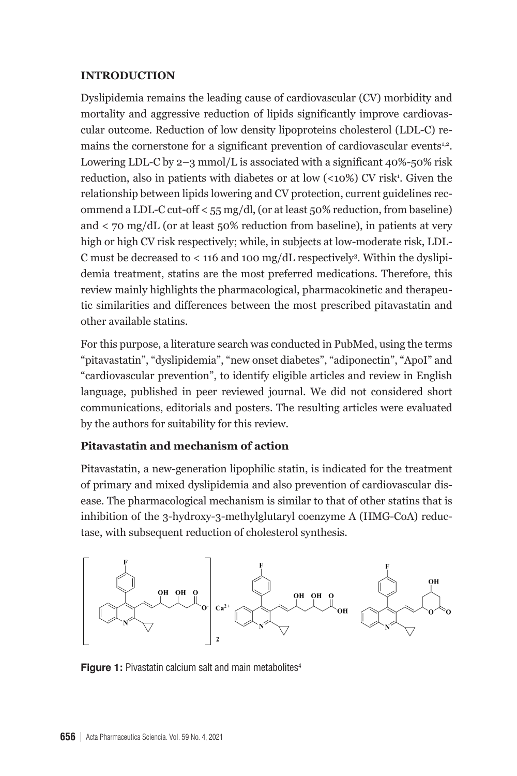#### **INTRODUCTION**

Dyslipidemia remains the leading cause of cardiovascular (CV) morbidity and mortality and aggressive reduction of lipids significantly improve cardiovascular outcome. Reduction of low density lipoproteins cholesterol (LDL-C) remains the cornerstone for a significant prevention of cardiovascular events<sup>1,2</sup>. Lowering LDL-C by  $2-3$  mmol/L is associated with a significant  $40\%$ -50% risk reduction, also in patients with diabetes or at low  $(\langle 10\% \rangle)$  CV risk<sup>1</sup>. Given the relationship between lipids lowering and CV protection, current guidelines recommend a LDL-C cut-off < 55 mg/dl, (or at least 50% reduction, from baseline) and < 70 mg/dL (or at least 50% reduction from baseline), in patients at very high or high CV risk respectively; while, in subjects at low-moderate risk, LDL-C must be decreased to  $\lt$  116 and 100 mg/dL respectively<sup>3</sup>. Within the dyslipidemia treatment, statins are the most preferred medications. Therefore, this review mainly highlights the pharmacological, pharmacokinetic and therapeutic similarities and differences between the most prescribed pitavastatin and other available statins.

For this purpose, a literature search was conducted in PubMed, using the terms "pitavastatin", "dyslipidemia", "new onset diabetes", "adiponectin", "ApoI" and "cardiovascular prevention", to identify eligible articles and review in English language, published in peer reviewed journal. We did not considered short communications, editorials and posters. The resulting articles were evaluated by the authors for suitability for this review.

### **Pitavastatin and mechanism of action**

Pitavastatin, a new-generation lipophilic statin, is indicated for the treatment of primary and mixed dyslipidemia and also prevention of cardiovascular disease. The pharmacological mechanism is similar to that of other statins that is inhibition of the 3-hydroxy-3-methylglutaryl coenzyme A (HMG-CoA) reductase, with subsequent reduction of cholesterol synthesis.



**Figure 1:** Pivastatin calcium salt and main metabolites<sup>4</sup>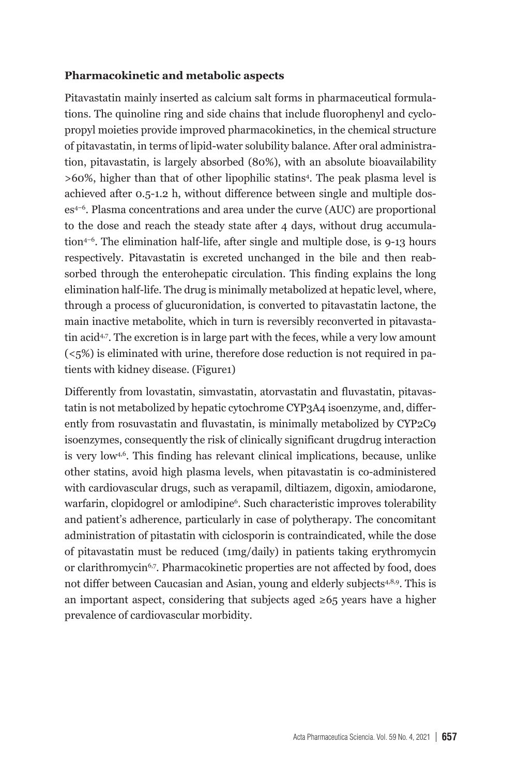#### **Pharmacokinetic and metabolic aspects**

Pitavastatin mainly inserted as calcium salt forms in pharmaceutical formulations. The quinoline ring and side chains that include fluorophenyl and cyclopropyl moieties provide improved pharmacokinetics, in the chemical structure of pitavastatin, in terms of lipid-water solubility balance. After oral administration, pitavastatin, is largely absorbed (80%), with an absolute bioavailability >60%, higher than that of other lipophilic statins<sup>4</sup>. The peak plasma level is achieved after 0.5-1.2 h, without difference between single and multiple doses4–6. Plasma concentrations and area under the curve (AUC) are proportional to the dose and reach the steady state after 4 days, without drug accumulation4–6. The elimination half-life, after single and multiple dose, is 9-13 hours respectively. Pitavastatin is excreted unchanged in the bile and then reabsorbed through the enterohepatic circulation. This finding explains the long elimination half-life. The drug is minimally metabolized at hepatic level, where, through a process of glucuronidation, is converted to pitavastatin lactone, the main inactive metabolite, which in turn is reversibly reconverted in pitavastatin acid<sup>4,7</sup>. The excretion is in large part with the feces, while a very low amount (<5%) is eliminated with urine, therefore dose reduction is not required in patients with kidney disease. (Figure1)

Differently from lovastatin, simvastatin, atorvastatin and fluvastatin, pitavastatin is not metabolized by hepatic cytochrome CYP3A4 isoenzyme, and, differently from rosuvastatin and fluvastatin, is minimally metabolized by CYP2C9 isoenzymes, consequently the risk of clinically significant drugdrug interaction is very low $4.6$ . This finding has relevant clinical implications, because, unlike other statins, avoid high plasma levels, when pitavastatin is co-administered with cardiovascular drugs, such as verapamil, diltiazem, digoxin, amiodarone, warfarin, clopidogrel or amlodipine6 . Such characteristic improves tolerability and patient's adherence, particularly in case of polytherapy. The concomitant administration of pitastatin with ciclosporin is contraindicated, while the dose of pitavastatin must be reduced (1mg/daily) in patients taking erythromycin or clarithromycin6,7. Pharmacokinetic properties are not affected by food, does not differ between Caucasian and Asian, young and elderly subjects<sup>4,8,9</sup>. This is an important aspect, considering that subjects aged  $\geq 65$  years have a higher prevalence of cardiovascular morbidity.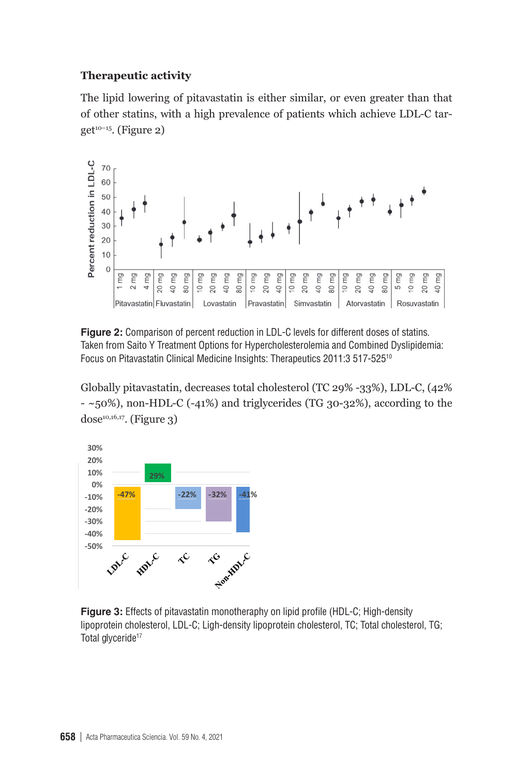# **Therapeutic activity Therapeutic activity**

The lipid lowering of pitavastatin is either similar, or even greater than that of other statins, with a high prevalence of patients which achieve LDL-C tar $get^{10-15}$ . (Figure 2)



Taken from Saito Y Treatment Options for Hypercholesterolemia and Combined Dyslipidemia: Focus on Pitavastatin Clinical Medicine Insights: Therapeutics 2011:3 517-525<sup>10</sup> **Figure 2:** Comparison of percent reduction in LDL-C levels for different doses of statins.

Globally pitavastatin, decreases total cholesterol (TC 29% -33%), LDL-C, (42%  $\alpha$  and  $\alpha$  (Figure 3)  $-$  ~50%), non-HDL-C (-41%) and triglycerides (TG 30-32%), according to the  $dose<sup>10,16,17</sup>$ . (Figure 3)



**Figure 3:** Effects of pitavastatin monotheraphy on lipid profile (HDL-C; High-density lipoprotein cholesterol, LDL-C; Ligh-density lipoprotein cholesterol, TC; Total cholesterol, TG;  $l$ Otal glyceride $l'$ Total glyceride<sup>17</sup>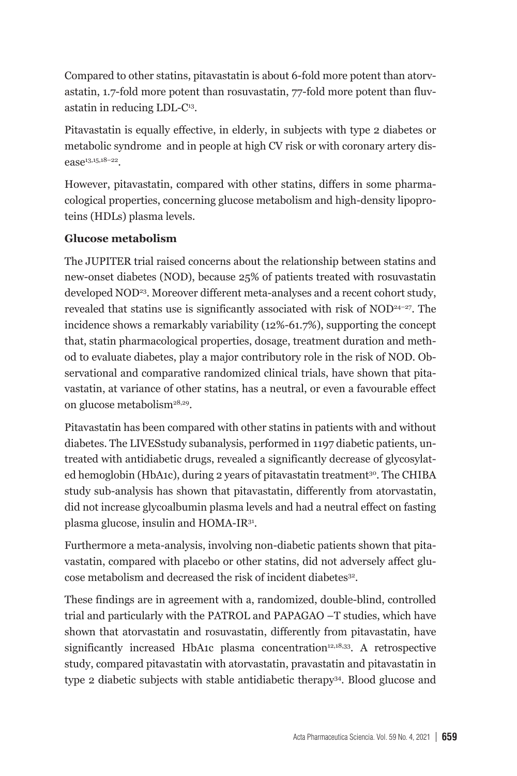Compared to other statins, pitavastatin is about 6-fold more potent than atorvastatin, 1.7-fold more potent than rosuvastatin, 77-fold more potent than fluvastatin in reducing LDL-C13.

Pitavastatin is equally effective, in elderly, in subjects with type 2 diabetes or metabolic syndrome and in people at high CV risk or with coronary artery disease13,15,18–22.

However, pitavastatin, compared with other statins, differs in some pharmacological properties, concerning glucose metabolism and high-density lipoproteins (HDLs) plasma levels.

## **Glucose metabolism**

The JUPITER trial raised concerns about the relationship between statins and new-onset diabetes (NOD), because 25% of patients treated with rosuvastatin developed NOD23. Moreover different meta-analyses and a recent cohort study, revealed that statins use is significantly associated with risk of NOD24–27. The incidence shows a remarkably variability (12%-61.7%), supporting the concept that, statin pharmacological properties, dosage, treatment duration and method to evaluate diabetes, play a major contributory role in the risk of NOD. Observational and comparative randomized clinical trials, have shown that pitavastatin, at variance of other statins, has a neutral, or even a favourable effect on glucose metabolism28,29.

Pitavastatin has been compared with other statins in patients with and without diabetes. The LIVESstudy subanalysis, performed in 1197 diabetic patients, untreated with antidiabetic drugs, revealed a significantly decrease of glycosylated hemoglobin (HbA1c), during 2 years of pitavastatin treatment<sup>30</sup>. The CHIBA study sub-analysis has shown that pitavastatin, differently from atorvastatin, did not increase glycoalbumin plasma levels and had a neutral effect on fasting plasma glucose, insulin and HOMA-IR31.

Furthermore a meta-analysis, involving non-diabetic patients shown that pitavastatin, compared with placebo or other statins, did not adversely affect glucose metabolism and decreased the risk of incident diabetes32.

These findings are in agreement with a, randomized, double-blind, controlled trial and particularly with the PATROL and PAPAGAO –T studies, which have shown that atorvastatin and rosuvastatin, differently from pitavastatin, have significantly increased HbA1c plasma concentration<sup>12,18,33</sup>. A retrospective study, compared pitavastatin with atorvastatin, pravastatin and pitavastatin in type 2 diabetic subjects with stable antidiabetic therapy34. Blood glucose and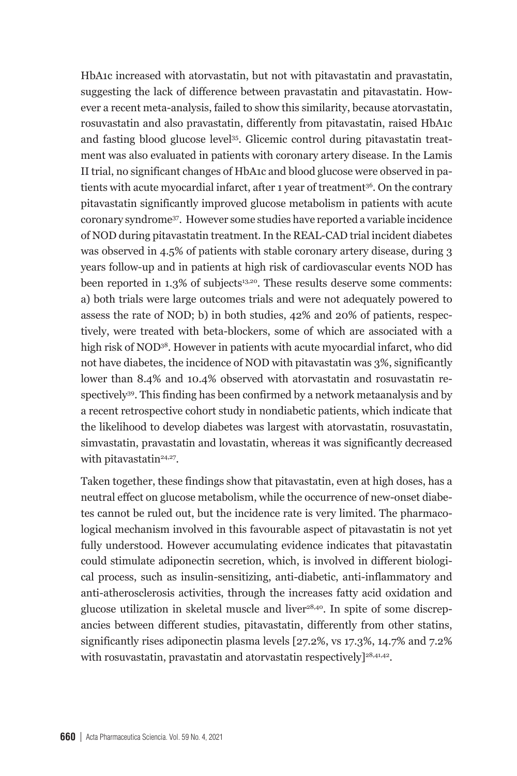HbA1c increased with atorvastatin, but not with pitavastatin and pravastatin, suggesting the lack of difference between pravastatin and pitavastatin. However a recent meta-analysis, failed to show this similarity, because atorvastatin, rosuvastatin and also pravastatin, differently from pitavastatin, raised HbA1c and fasting blood glucose level35. Glicemic control during pitavastatin treatment was also evaluated in patients with coronary artery disease. In the Lamis II trial, no significant changes of HbA1c and blood glucose were observed in patients with acute myocardial infarct, after 1 year of treatment<sup>36</sup>. On the contrary pitavastatin significantly improved glucose metabolism in patients with acute coronary syndrome37. However some studies have reported a variable incidence of NOD during pitavastatin treatment. In the REAL-CAD trial incident diabetes was observed in 4.5% of patients with stable coronary artery disease, during 3 years follow-up and in patients at high risk of cardiovascular events NOD has been reported in  $1.3\%$  of subjects<sup>13,20</sup>. These results deserve some comments: a) both trials were large outcomes trials and were not adequately powered to assess the rate of NOD; b) in both studies, 42% and 20% of patients, respectively, were treated with beta-blockers, some of which are associated with a high risk of NOD<sup>38</sup>. However in patients with acute myocardial infarct, who did not have diabetes, the incidence of NOD with pitavastatin was 3%, significantly lower than 8.4% and 10.4% observed with atorvastatin and rosuvastatin respectively<sup>39</sup>. This finding has been confirmed by a network metaanalysis and by a recent retrospective cohort study in nondiabetic patients, which indicate that the likelihood to develop diabetes was largest with atorvastatin, rosuvastatin, simvastatin, pravastatin and lovastatin, whereas it was significantly decreased with pitavastatin<sup>24,27</sup>.

Taken together, these findings show that pitavastatin, even at high doses, has a neutral effect on glucose metabolism, while the occurrence of new-onset diabetes cannot be ruled out, but the incidence rate is very limited. The pharmacological mechanism involved in this favourable aspect of pitavastatin is not yet fully understood. However accumulating evidence indicates that pitavastatin could stimulate adiponectin secretion, which, is involved in different biological process, such as insulin-sensitizing, anti-diabetic, anti-inflammatory and anti-atherosclerosis activities, through the increases fatty acid oxidation and glucose utilization in skeletal muscle and liver<sup>28,40</sup>. In spite of some discrepancies between different studies, pitavastatin, differently from other statins, significantly rises adiponectin plasma levels [27.2%, vs 17.3%, 14.7% and 7.2% with rosuvastatin, pravastatin and atorvastatin respectively $]^{28,41,42}$ .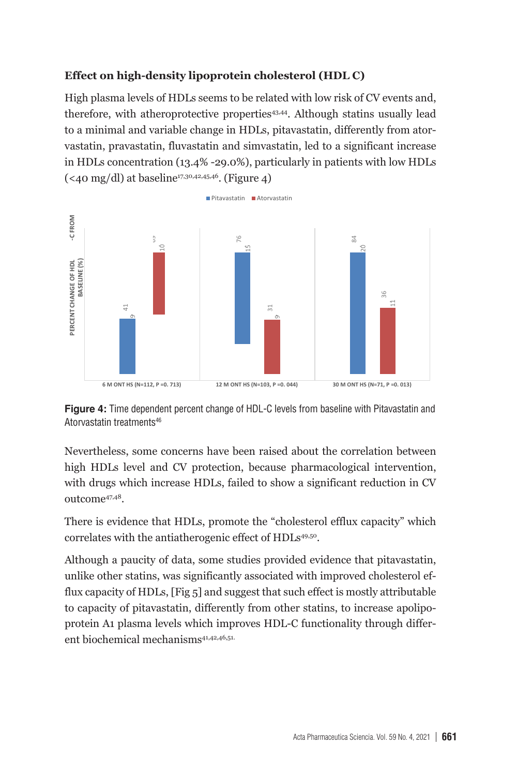# **Effect on high-density lipoprotein cholesterol (HDL C) Effect on high-density lipoprotein cholesterol (HDL C)**

High plasma levels of HDLs seems to be related with low risk of CV events and, therefore, with atheroprotective properties<sup>43,44</sup>. Although statins usually lead to a minimal and variable change in HDLs, pitavastatin, differently from atorvastatin, pravastatin, fluvastatin and simvastatin, led to a significant increase in HDLs concentration (13.4% -29.0%), particularly in patients with low HDLs  $(\leq 40 \text{ mg/dl})$  at baseline<sup>17,30,42,45,46</sup>. (Figure 4)



**Figure 4:** Time dependent percent change of HDL-C levels from baseline with Pitavastatin and Atorvastatin treatments46

Nevertheless, some concerns have been raised about the correlation between high HDLs level and CV protection, because pharmacological intervention, with drugs which increase HDLs, failed to show a significant reduction in CV outcome47,48.

There is evidence that HDLs, promote the "cholesterol efflux capacity" which correlates with the antiatherogenic effect of HDLs<sup>49,50</sup>.

Although a paucity of data, some studies provided evidence that pitavastatin, unlike other statins, was significantly associated with improved cholesterol efflux capacity of HDLs, [Fig 5] and suggest that such effect is mostly attributable to capacity of pitavastatin, differently from other statins, to increase apolipoprotein A1 plasma levels which improves HDL-C functionality through different biochemical mechanisms<sup>41,42,46,51.</sup>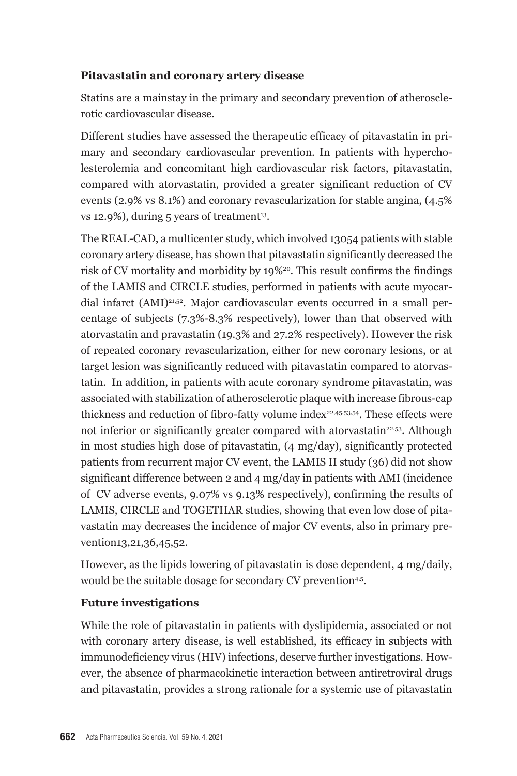## **Pitavastatin and coronary artery disease**

Statins are a mainstay in the primary and secondary prevention of atherosclerotic cardiovascular disease.

Different studies have assessed the therapeutic efficacy of pitavastatin in primary and secondary cardiovascular prevention. In patients with hypercholesterolemia and concomitant high cardiovascular risk factors, pitavastatin, compared with atorvastatin, provided a greater significant reduction of CV events (2.9% vs 8.1%) and coronary revascularization for stable angina, (4.5% vs 12.9%), during  $5$  years of treatment<sup>13</sup>.

The REAL-CAD, a multicenter study, which involved 13054 patients with stable coronary artery disease, has shown that pitavastatin significantly decreased the risk of CV mortality and morbidity by 19%20. This result confirms the findings of the LAMIS and CIRCLE studies, performed in patients with acute myocardial infarct (AMI)21,52. Major cardiovascular events occurred in a small percentage of subjects (7.3%-8.3% respectively), lower than that observed with atorvastatin and pravastatin (19.3% and 27.2% respectively). However the risk of repeated coronary revascularization, either for new coronary lesions, or at target lesion was significantly reduced with pitavastatin compared to atorvastatin. In addition, in patients with acute coronary syndrome pitavastatin, was associated with stabilization of atherosclerotic plaque with increase fibrous-cap thickness and reduction of fibro-fatty volume index<sup>22,45,53,54</sup>. These effects were not inferior or significantly greater compared with atorvastatin<sup>22,53</sup>. Although in most studies high dose of pitavastatin, (4 mg/day), significantly protected patients from recurrent major CV event, the LAMIS II study (36) did not show significant difference between 2 and 4 mg/day in patients with AMI (incidence of CV adverse events, 9.07% vs 9.13% respectively), confirming the results of LAMIS, CIRCLE and TOGETHAR studies, showing that even low dose of pitavastatin may decreases the incidence of major CV events, also in primary prevention13,21,36,45,52.

However, as the lipids lowering of pitavastatin is dose dependent, 4 mg/daily, would be the suitable dosage for secondary CV prevention<sup>4,5</sup>.

## **Future investigations**

While the role of pitavastatin in patients with dyslipidemia, associated or not with coronary artery disease, is well established, its efficacy in subjects with immunodeficiency virus (HIV) infections, deserve further investigations. However, the absence of pharmacokinetic interaction between antiretroviral drugs and pitavastatin, provides a strong rationale for a systemic use of pitavastatin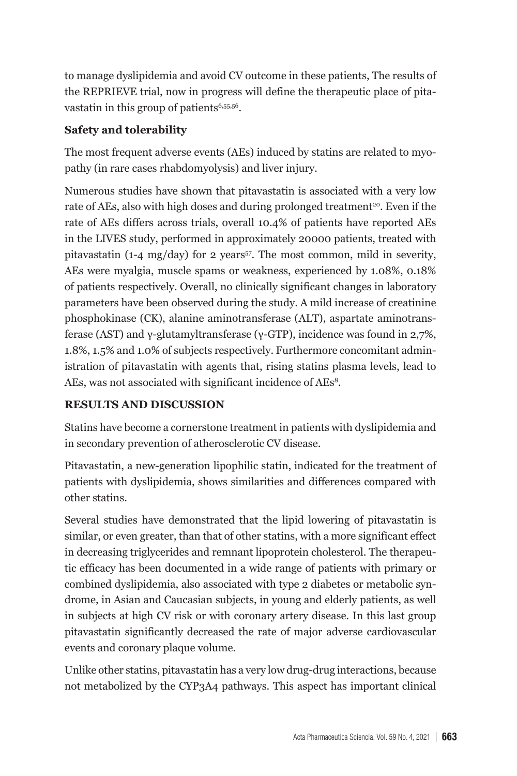to manage dyslipidemia and avoid CV outcome in these patients, The results of the REPRIEVE trial, now in progress will define the therapeutic place of pitavastatin in this group of patients<sup>6,55,56</sup>.

## **Safety and tolerability**

The most frequent adverse events (AEs) induced by statins are related to myopathy (in rare cases rhabdomyolysis) and liver injury.

Numerous studies have shown that pitavastatin is associated with a very low rate of AEs, also with high doses and during prolonged treatment<sup>20</sup>. Even if the rate of AEs differs across trials, overall 10.4% of patients have reported AEs in the LIVES study, performed in approximately 20000 patients, treated with pitavastatin (1-4 mg/day) for 2 years<sup>57</sup>. The most common, mild in severity, AEs were myalgia, muscle spams or weakness, experienced by 1.08%, 0.18% of patients respectively. Overall, no clinically significant changes in laboratory parameters have been observed during the study. A mild increase of creatinine phosphokinase (CK), alanine aminotransferase (ALT), aspartate aminotransferase (AST) and γ-glutamyltransferase (γ-GTP), incidence was found in 2,7%, 1.8%, 1.5% and 1.0% of subjects respectively. Furthermore concomitant administration of pitavastatin with agents that, rising statins plasma levels, lead to AEs, was not associated with significant incidence of AEs<sup>8</sup>.

### **RESULTS AND DISCUSSION**

Statins have become a cornerstone treatment in patients with dyslipidemia and in secondary prevention of atherosclerotic CV disease.

Pitavastatin, a new-generation lipophilic statin, indicated for the treatment of patients with dyslipidemia, shows similarities and differences compared with other statins.

Several studies have demonstrated that the lipid lowering of pitavastatin is similar, or even greater, than that of other statins, with a more significant effect in decreasing triglycerides and remnant lipoprotein cholesterol. The therapeutic efficacy has been documented in a wide range of patients with primary or combined dyslipidemia, also associated with type 2 diabetes or metabolic syndrome, in Asian and Caucasian subjects, in young and elderly patients, as well in subjects at high CV risk or with coronary artery disease. In this last group pitavastatin significantly decreased the rate of major adverse cardiovascular events and coronary plaque volume.

Unlike other statins, pitavastatin has a very low drug-drug interactions, because not metabolized by the CYP3A4 pathways. This aspect has important clinical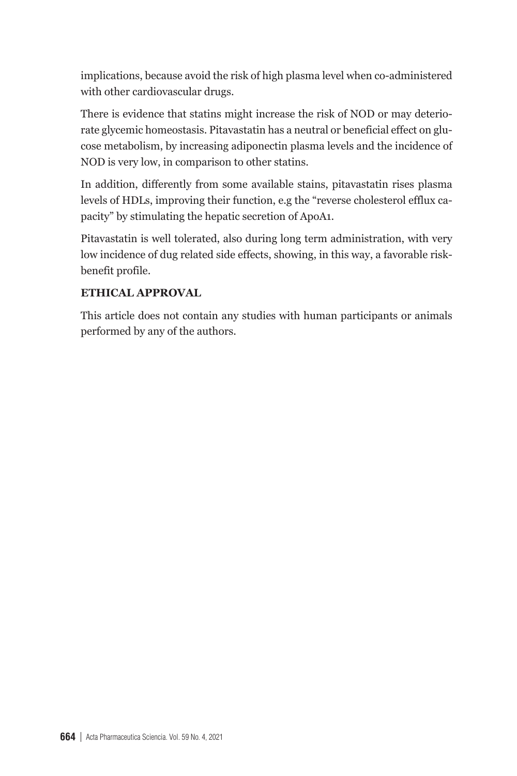implications, because avoid the risk of high plasma level when co-administered with other cardiovascular drugs.

There is evidence that statins might increase the risk of NOD or may deteriorate glycemic homeostasis. Pitavastatin has a neutral or beneficial effect on glucose metabolism, by increasing adiponectin plasma levels and the incidence of NOD is very low, in comparison to other statins.

In addition, differently from some available stains, pitavastatin rises plasma levels of HDLs, improving their function, e.g the "reverse cholesterol efflux capacity" by stimulating the hepatic secretion of ApoA1.

Pitavastatin is well tolerated, also during long term administration, with very low incidence of dug related side effects, showing, in this way, a favorable riskbenefit profile.

## **ETHICAL APPROVAL**

This article does not contain any studies with human participants or animals performed by any of the authors.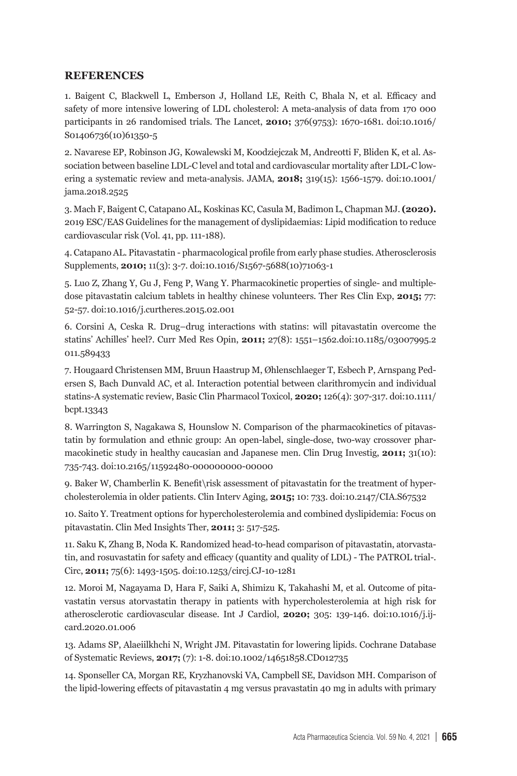#### **REFERENCES**

1. Baigent C, Blackwell L, Emberson J, Holland LE, Reith C, Bhala N, et al. Efficacy and safety of more intensive lowering of LDL cholesterol: A meta-analysis of data from 170 000 participants in 26 randomised trials. The Lancet, **2010;** 376(9753): 1670-1681. doi:10.1016/ S01406736(10)61350-5

2. Navarese EP, Robinson JG, Kowalewski M, Koodziejczak M, Andreotti F, Bliden K, et al. Association between baseline LDL-C level and total and cardiovascular mortality after LDL-C lowering a systematic review and meta-analysis. JAMA, **2018;** 319(15): 1566-1579. doi:10.1001/ jama.2018.2525

3. Mach F, Baigent C, Catapano AL, Koskinas KC, Casula M, Badimon L, Chapman MJ. **(2020).**  2019 ESC/EAS Guidelines for the management of dyslipidaemias: Lipid modification to reduce cardiovascular risk (Vol. 41, pp. 111-188).

4. Catapano AL. Pitavastatin - pharmacological profile from early phase studies. Atherosclerosis Supplements, **2010;** 11(3): 3-7. doi:10.1016/S1567-5688(10)71063-1

5. Luo Z, Zhang Y, Gu J, Feng P, Wang Y. Pharmacokinetic properties of single- and multipledose pitavastatin calcium tablets in healthy chinese volunteers. Ther Res Clin Exp, **2015;** 77: 52-57. doi:10.1016/j.curtheres.2015.02.001

6. Corsini A, Ceska R. Drug–drug interactions with statins: will pitavastatin overcome the statins' Achilles' heel?. Curr Med Res Opin, **2011;** 27(8): 1551–1562.doi:10.1185/03007995.2 011.589433

7. Hougaard Christensen MM, Bruun Haastrup M, Øhlenschlaeger T, Esbech P, Arnspang Pedersen S, Bach Dunvald AC, et al. Interaction potential between clarithromycin and individual statins-A systematic review, Basic Clin Pharmacol Toxicol, **2020;** 126(4): 307-317. doi:10.1111/ bcpt.13343

8. Warrington S, Nagakawa S, Hounslow N. Comparison of the pharmacokinetics of pitavastatin by formulation and ethnic group: An open-label, single-dose, two-way crossover pharmacokinetic study in healthy caucasian and Japanese men. Clin Drug Investig, **2011;** 31(10): 735-743. doi:10.2165/11592480-000000000-00000

9. Baker W, Chamberlin K. Benefit\risk assessment of pitavastatin for the treatment of hypercholesterolemia in older patients. Clin Interv Aging, **2015;** 10: 733. doi:10.2147/CIA.S67532

10. Saito Y. Treatment options for hypercholesterolemia and combined dyslipidemia: Focus on pitavastatin. Clin Med Insights Ther, **2011;** 3: 517-525.

11. Saku K, Zhang B, Noda K. Randomized head-to-head comparison of pitavastatin, atorvastatin, and rosuvastatin for safety and efficacy (quantity and quality of LDL) - The PATROL trial-. Circ, **2011;** 75(6): 1493-1505. doi:10.1253/circj.CJ-10-1281

12. Moroi M, Nagayama D, Hara F, Saiki A, Shimizu K, Takahashi M, et al. Outcome of pitavastatin versus atorvastatin therapy in patients with hypercholesterolemia at high risk for atherosclerotic cardiovascular disease. Int J Cardiol, **2020;** 305: 139-146. doi:10.1016/j.ijcard.2020.01.006

13. Adams SP, Alaeiilkhchi N, Wright JM. Pitavastatin for lowering lipids. Cochrane Database of Systematic Reviews, **2017;** (7): 1-8. doi:10.1002/14651858.CD012735

14. Sponseller CA, Morgan RE, Kryzhanovski VA, Campbell SE, Davidson MH. Comparison of the lipid-lowering effects of pitavastatin 4 mg versus pravastatin 40 mg in adults with primary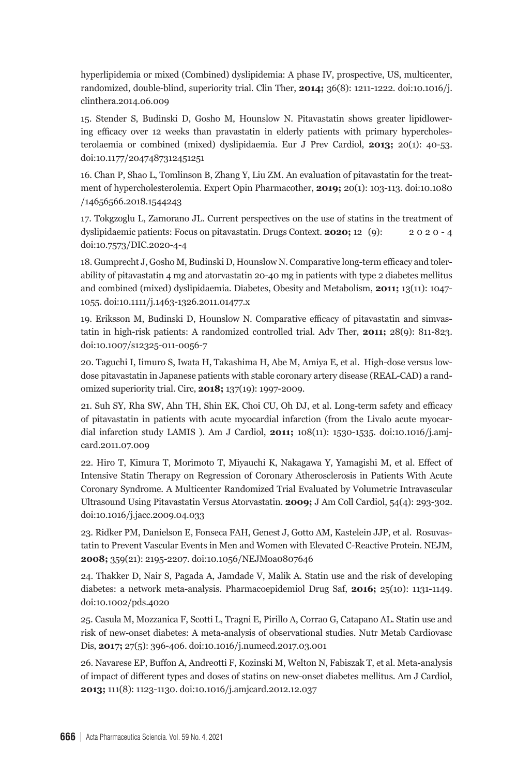hyperlipidemia or mixed (Combined) dyslipidemia: A phase IV, prospective, US, multicenter, randomized, double-blind, superiority trial. Clin Ther, **2014;** 36(8): 1211-1222. doi:10.1016/j. clinthera.2014.06.009

15. Stender S, Budinski D, Gosho M, Hounslow N. Pitavastatin shows greater lipidlowering efficacy over 12 weeks than pravastatin in elderly patients with primary hypercholesterolaemia or combined (mixed) dyslipidaemia. Eur J Prev Cardiol, **2013;** 20(1): 40-53. doi:10.1177/2047487312451251

16. Chan P, Shao L, Tomlinson B, Zhang Y, Liu ZM. An evaluation of pitavastatin for the treatment of hypercholesterolemia. Expert Opin Pharmacother, **2019;** 20(1): 103-113. doi:10.1080 /14656566.2018.1544243

17. Tokgzoglu L, Zamorano JL. Current perspectives on the use of statins in the treatment of dyslipidaemic patients: Focus on pitavastatin. Drugs Context. **2020;** 12 (9): 2 0 2 0 - 4 doi:10.7573/DIC.2020-4-4

18. Gumprecht J, Gosho M, Budinski D, Hounslow N. Comparative long-term efficacy and tolerability of pitavastatin 4 mg and atorvastatin 20-40 mg in patients with type 2 diabetes mellitus and combined (mixed) dyslipidaemia. Diabetes, Obesity and Metabolism, **2011;** 13(11): 1047- 1055. doi:10.1111/j.1463-1326.2011.01477.x

19. Eriksson M, Budinski D, Hounslow N. Comparative efficacy of pitavastatin and simvastatin in high-risk patients: A randomized controlled trial. Adv Ther, **2011;** 28(9): 811-823. doi:10.1007/s12325-011-0056-7

20. Taguchi I, Iimuro S, Iwata H, Takashima H, Abe M, Amiya E, et al. High-dose versus lowdose pitavastatin in Japanese patients with stable coronary artery disease (REAL-CAD) a randomized superiority trial. Circ, **2018;** 137(19): 1997-2009.

21. Suh SY, Rha SW, Ahn TH, Shin EK, Choi CU, Oh DJ, et al. Long-term safety and efficacy of pitavastatin in patients with acute myocardial infarction (from the Livalo acute myocardial infarction study LAMIS ). Am J Cardiol, **2011;** 108(11): 1530-1535. doi:10.1016/j.amjcard.2011.07.009

22. Hiro T, Kimura T, Morimoto T, Miyauchi K, Nakagawa Y, Yamagishi M, et al. Effect of Intensive Statin Therapy on Regression of Coronary Atherosclerosis in Patients With Acute Coronary Syndrome. A Multicenter Randomized Trial Evaluated by Volumetric Intravascular Ultrasound Using Pitavastatin Versus Atorvastatin. **2009;** J Am Coll Cardiol, 54(4): 293-302. doi:10.1016/j.jacc.2009.04.033

23. Ridker PM, Danielson E, Fonseca FAH, Genest J, Gotto AM, Kastelein JJP, et al. Rosuvastatin to Prevent Vascular Events in Men and Women with Elevated C-Reactive Protein. NEJM, **2008;** 359(21): 2195-2207. doi:10.1056/NEJMoa0807646

24. Thakker D, Nair S, Pagada A, Jamdade V, Malik A. Statin use and the risk of developing diabetes: a network meta-analysis. Pharmacoepidemiol Drug Saf, **2016;** 25(10): 1131-1149. doi:10.1002/pds.4020

25. Casula M, Mozzanica F, Scotti L, Tragni E, Pirillo A, Corrao G, Catapano AL. Statin use and risk of new-onset diabetes: A meta-analysis of observational studies. Nutr Metab Cardiovasc Dis, **2017;** 27(5): 396-406. doi:10.1016/j.numecd.2017.03.001

26. Navarese EP, Buffon A, Andreotti F, Kozinski M, Welton N, Fabiszak T, et al. Meta-analysis of impact of different types and doses of statins on new-onset diabetes mellitus. Am J Cardiol, **2013;** 111(8): 1123-1130. doi:10.1016/j.amjcard.2012.12.037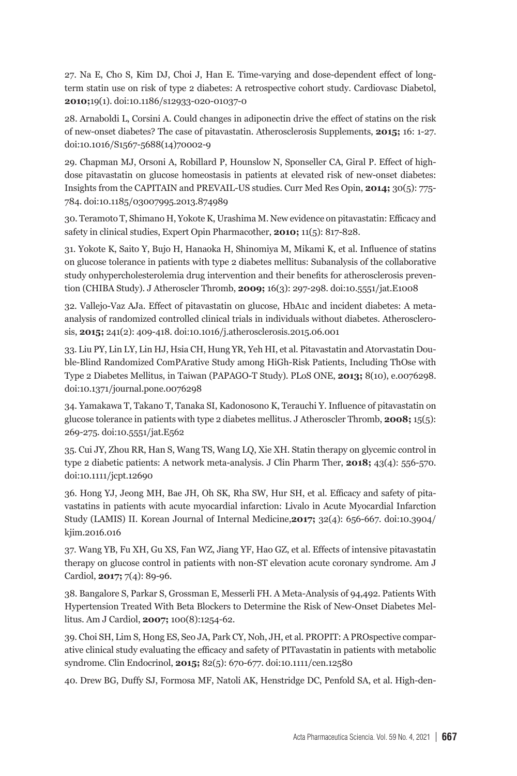27. Na E, Cho S, Kim DJ, Choi J, Han E. Time-varying and dose-dependent effect of longterm statin use on risk of type 2 diabetes: A retrospective cohort study. Cardiovasc Diabetol, **2010;**19(1). doi:10.1186/s12933-020-01037-0

28. Arnaboldi L, Corsini A. Could changes in adiponectin drive the effect of statins on the risk of new-onset diabetes? The case of pitavastatin. Atherosclerosis Supplements, **2015;** 16: 1-27. doi:10.1016/S1567-5688(14)70002-9

29. Chapman MJ, Orsoni A, Robillard P, Hounslow N, Sponseller CA, Giral P. Effect of highdose pitavastatin on glucose homeostasis in patients at elevated risk of new-onset diabetes: Insights from the CAPITAIN and PREVAIL-US studies. Curr Med Res Opin, **2014;** 30(5): 775- 784. doi:10.1185/03007995.2013.874989

30. Teramoto T, Shimano H, Yokote K, Urashima M. New evidence on pitavastatin: Efficacy and safety in clinical studies, Expert Opin Pharmacother, **2010;** 11(5): 817-828.

31. Yokote K, Saito Y, Bujo H, Hanaoka H, Shinomiya M, Mikami K, et al. Influence of statins on glucose tolerance in patients with type 2 diabetes mellitus: Subanalysis of the collaborative study onhypercholesterolemia drug intervention and their benefits for atherosclerosis prevention (CHIBA Study). J Atheroscler Thromb, **2009;** 16(3): 297-298. doi:10.5551/jat.E1008

32. Vallejo-Vaz AJa. Effect of pitavastatin on glucose, HbA1c and incident diabetes: A metaanalysis of randomized controlled clinical trials in individuals without diabetes. Atherosclerosis, **2015;** 241(2): 409-418. doi:10.1016/j.atherosclerosis.2015.06.001

33. Liu PY, Lin LY, Lin HJ, Hsia CH, Hung YR, Yeh HI, et al. Pitavastatin and Atorvastatin Double-Blind Randomized ComPArative Study among HiGh-Risk Patients, Including ThOse with Type 2 Diabetes Mellitus, in Taiwan (PAPAGO-T Study). PLoS ONE, **2013;** 8(10), e.0076298. doi:10.1371/journal.pone.0076298

34. Yamakawa T, Takano T, Tanaka SI, Kadonosono K, Terauchi Y. Influence of pitavastatin on glucose tolerance in patients with type 2 diabetes mellitus. J Atheroscler Thromb, **2008;** 15(5): 269-275. doi:10.5551/jat.E562

35. Cui JY, Zhou RR, Han S, Wang TS, Wang LQ, Xie XH. Statin therapy on glycemic control in type 2 diabetic patients: A network meta-analysis. J Clin Pharm Ther, **2018;** 43(4): 556-570. doi:10.1111/jcpt.12690

36. Hong YJ, Jeong MH, Bae JH, Oh SK, Rha SW, Hur SH, et al. Efficacy and safety of pitavastatins in patients with acute myocardial infarction: Livalo in Acute Myocardial Infarction Study (LAMIS) II. Korean Journal of Internal Medicine,**2017;** 32(4): 656-667. doi:10.3904/ kjim.2016.016

37. Wang YB, Fu XH, Gu XS, Fan WZ, Jiang YF, Hao GZ, et al. Effects of intensive pitavastatin therapy on glucose control in patients with non-ST elevation acute coronary syndrome. Am J Cardiol, **2017;** 7(4): 89-96.

38. Bangalore S, Parkar S, Grossman E, Messerli FH. A Meta-Analysis of 94,492. Patients With Hypertension Treated With Beta Blockers to Determine the Risk of New-Onset Diabetes Mellitus. Am J Cardiol, **2007;** 100(8):1254-62.

39. Choi SH, Lim S, Hong ES, Seo JA, Park CY, Noh, JH, et al. PROPIT: A PROspective comparative clinical study evaluating the efficacy and safety of PITavastatin in patients with metabolic syndrome. Clin Endocrinol, **2015;** 82(5): 670-677. doi:10.1111/cen.12580

40. Drew BG, Duffy SJ, Formosa MF, Natoli AK, Henstridge DC, Penfold SA, et al. High-den-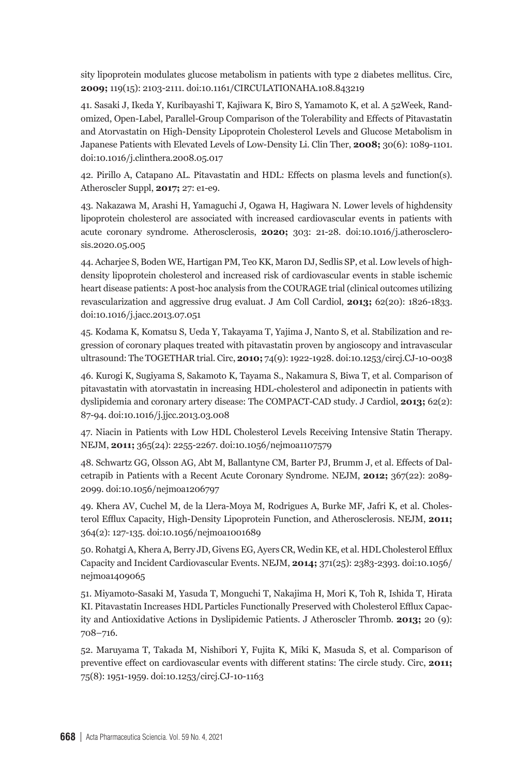sity lipoprotein modulates glucose metabolism in patients with type 2 diabetes mellitus. Circ, **2009;** 119(15): 2103-2111. doi:10.1161/CIRCULATIONAHA.108.843219

41. Sasaki J, Ikeda Y, Kuribayashi T, Kajiwara K, Biro S, Yamamoto K, et al. A 52Week, Randomized, Open-Label, Parallel-Group Comparison of the Tolerability and Effects of Pitavastatin and Atorvastatin on High-Density Lipoprotein Cholesterol Levels and Glucose Metabolism in Japanese Patients with Elevated Levels of Low-Density Li. Clin Ther, **2008;** 30(6): 1089-1101. doi:10.1016/j.clinthera.2008.05.017

42. Pirillo A, Catapano AL. Pitavastatin and HDL: Effects on plasma levels and function(s). Atheroscler Suppl, **2017;** 27: e1-e9.

43. Nakazawa M, Arashi H, Yamaguchi J, Ogawa H, Hagiwara N. Lower levels of highdensity lipoprotein cholesterol are associated with increased cardiovascular events in patients with acute coronary syndrome. Atherosclerosis, **2020;** 303: 21-28. doi:10.1016/j.atherosclerosis.2020.05.005

44. Acharjee S, Boden WE, Hartigan PM, Teo KK, Maron DJ, Sedlis SP, et al. Low levels of highdensity lipoprotein cholesterol and increased risk of cardiovascular events in stable ischemic heart disease patients: A post-hoc analysis from the COURAGE trial (clinical outcomes utilizing revascularization and aggressive drug evaluat. J Am Coll Cardiol, **2013;** 62(20): 1826-1833. doi:10.1016/j.jacc.2013.07.051

45. Kodama K, Komatsu S, Ueda Y, Takayama T, Yajima J, Nanto S, et al. Stabilization and regression of coronary plaques treated with pitavastatin proven by angioscopy and intravascular ultrasound: The TOGETHAR trial. Circ, **2010;** 74(9): 1922-1928. doi:10.1253/circj.CJ-10-0038

46. Kurogi K, Sugiyama S, Sakamoto K, Tayama S., Nakamura S, Biwa T, et al. Comparison of pitavastatin with atorvastatin in increasing HDL-cholesterol and adiponectin in patients with dyslipidemia and coronary artery disease: The COMPACT-CAD study. J Cardiol, **2013;** 62(2): 87-94. doi:10.1016/j.jjcc.2013.03.008

47. Niacin in Patients with Low HDL Cholesterol Levels Receiving Intensive Statin Therapy. NEJM, **2011;** 365(24): 2255-2267. doi:10.1056/nejmoa1107579

48. Schwartz GG, Olsson AG, Abt M, Ballantyne CM, Barter PJ, Brumm J, et al. Effects of Dalcetrapib in Patients with a Recent Acute Coronary Syndrome. NEJM, **2012;** 367(22): 2089- 2099. doi:10.1056/nejmoa1206797

49. Khera AV, Cuchel M, de la Llera-Moya M, Rodrigues A, Burke MF, Jafri K, et al. Cholesterol Efflux Capacity, High-Density Lipoprotein Function, and Atherosclerosis. NEJM, **2011;** 364(2): 127-135. doi:10.1056/nejmoa1001689

50. Rohatgi A, Khera A, Berry JD, Givens EG, Ayers CR, Wedin KE, et al. HDL Cholesterol Efflux Capacity and Incident Cardiovascular Events. NEJM, **2014;** 371(25): 2383-2393. doi:10.1056/ nejmoa1409065

51. Miyamoto-Sasaki M, Yasuda T, Monguchi T, Nakajima H, Mori K, Toh R, Ishida T, Hirata KI. Pitavastatin Increases HDL Particles Functionally Preserved with Cholesterol Efflux Capacity and Antioxidative Actions in Dyslipidemic Patients. J Atheroscler Thromb. **2013;** 20 (9): 708–716.

52. Maruyama T, Takada M, Nishibori Y, Fujita K, Miki K, Masuda S, et al. Comparison of preventive effect on cardiovascular events with different statins: The circle study. Circ, **2011;** 75(8): 1951-1959. doi:10.1253/circj.CJ-10-1163